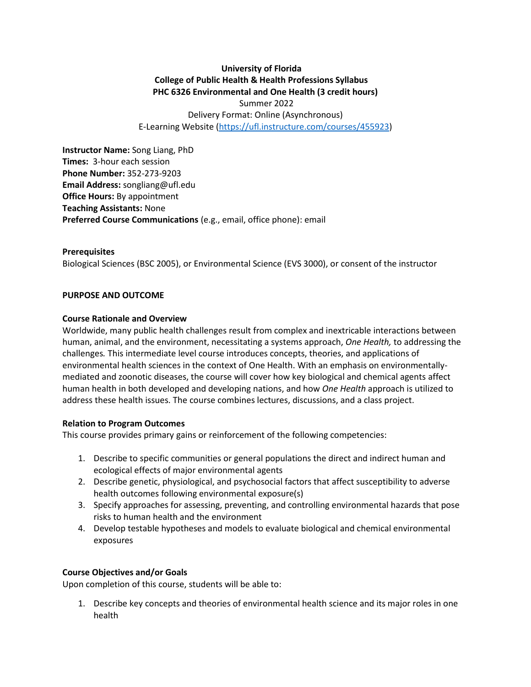# **University of Florida College of Public Health & Health Professions Syllabus PHC 6326 Environmental and One Health (3 credit hours)**

Summer 2022 Delivery Format: Online (Asynchronous) E-Learning Website [\(https://ufl.instructure.com/courses/455923\)](https://ufl.instructure.com/courses/455923)

**Instructor Name:** Song Liang, PhD **Times:** 3-hour each session **Phone Number:** 352-273-9203 **Email Address:** songliang@ufl.edu **Office Hours:** By appointment **Teaching Assistants:** None **Preferred Course Communications** (e.g., email, office phone): email

**Prerequisites** Biological Sciences (BSC 2005), or Environmental Science (EVS 3000), or consent of the instructor

#### **PURPOSE AND OUTCOME**

#### **Course Rationale and Overview**

Worldwide, many public health challenges result from complex and inextricable interactions between human, animal, and the environment, necessitating a systems approach, *One Health,* to addressing the challenges*.* This intermediate level course introduces concepts, theories, and applications of environmental health sciences in the context of One Health. With an emphasis on environmentallymediated and zoonotic diseases, the course will cover how key biological and chemical agents affect human health in both developed and developing nations, and how *One Health* approach is utilized to address these health issues. The course combines lectures, discussions, and a class project.

#### **Relation to Program Outcomes**

This course provides primary gains or reinforcement of the following competencies:

- 1. Describe to specific communities or general populations the direct and indirect human and ecological effects of major environmental agents
- 2. Describe genetic, physiological, and psychosocial factors that affect susceptibility to adverse health outcomes following environmental exposure(s)
- 3. Specify approaches for assessing, preventing, and controlling environmental hazards that pose risks to human health and the environment
- 4. Develop testable hypotheses and models to evaluate biological and chemical environmental exposures

#### **Course Objectives and/or Goals**

Upon completion of this course, students will be able to:

1. Describe key concepts and theories of environmental health science and its major roles in one health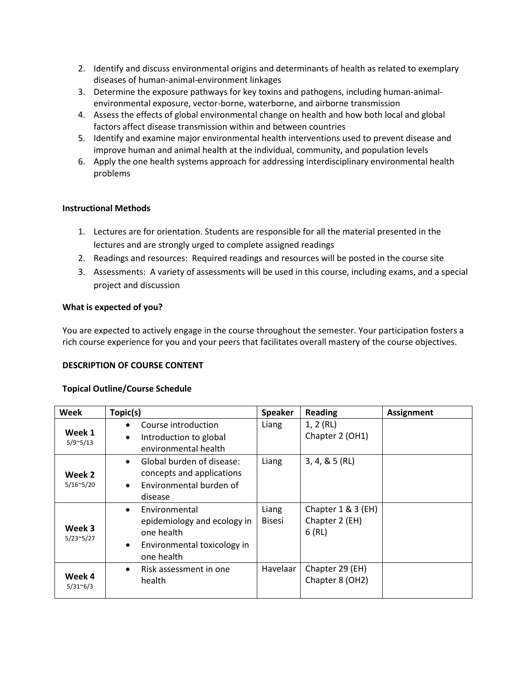- 2. Identify and discuss environmental origins and determinants of health as related to exemplary diseases of human-animal-environment linkages
- 3. Determine the exposure pathways for key toxins and pathogens, including human-animalenvironmental exposure, vector-borne, waterborne, and airborne transmission
- 4. Assess the effects of global environmental change on health and how both local and global factors affect disease transmission within and between countries
- 5. Identify and examine major environmental health interventions used to prevent disease and improve human and animal health at the individual, community, and population levels
- 6. Apply the one health systems approach for addressing interdisciplinary environmental health problems

## **Instructional Methods**

- 1. Lectures are for orientation. Students are responsible for all the material presented in the lectures and are strongly urged to complete assigned readings
- 2. Readings and resources: Required readings and resources will be posted in the course site
- 3. Assessments: A variety of assessments will be used in this course, including exams, and a special project and discussion

## **What is expected of you?**

You are expected to actively engage in the course throughout the semester. Your participation fosters a rich course experience for you and your peers that facilitates overall mastery of the course objectives.

# **DESCRIPTION OF COURSE CONTENT**

#### **Topical Outline/Course Schedule**

| Week                                | Topic(s)                                                                                                                          | <b>Speaker</b>         | <b>Reading</b>                                | <b>Assignment</b> |
|-------------------------------------|-----------------------------------------------------------------------------------------------------------------------------------|------------------------|-----------------------------------------------|-------------------|
| Week 1<br>$5/9$ <sup>~</sup> $5/13$ | Course introduction<br>Introduction to global<br>٠<br>environmental health                                                        | Liang                  | 1, 2(RL)<br>Chapter 2 (OH1)                   |                   |
| Week 2<br>$5/16^{\sim}5/20$         | Global burden of disease:<br>$\bullet$<br>concepts and applications<br>Environmental burden of<br>$\bullet$<br>disease            | Liang                  | $3, 4, 8, 5$ (RL)                             |                   |
| Week 3<br>$5/23^{\sim}5/27$         | Environmental<br>$\bullet$<br>epidemiology and ecology in<br>one health<br>Environmental toxicology in<br>$\bullet$<br>one health | Liang<br><b>Bisesi</b> | Chapter 1 & 3 (EH)<br>Chapter 2 (EH)<br>6(RL) |                   |
| Week 4<br>$5/31^6/3$                | Risk assessment in one<br>$\bullet$<br>health                                                                                     | Havelaar               | Chapter 29 (EH)<br>Chapter 8 (OH2)            |                   |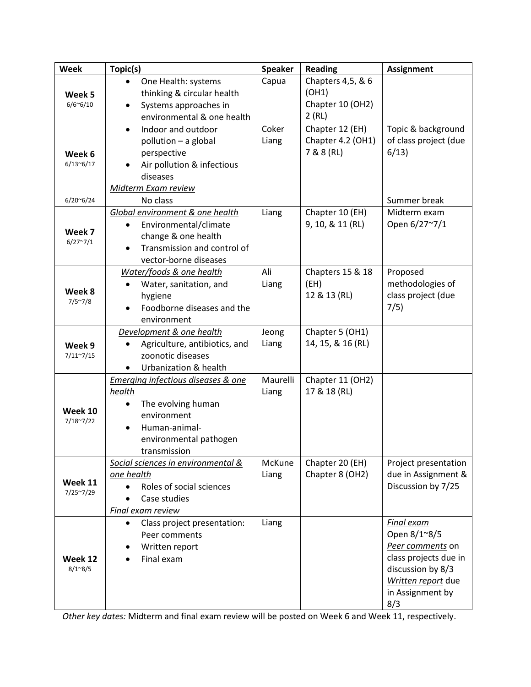| <b>Week</b>                       | Topic(s)                                                                                                                                                                          | <b>Speaker</b>    | <b>Reading</b>                                     | <b>Assignment</b>                                                                                                                                    |
|-----------------------------------|-----------------------------------------------------------------------------------------------------------------------------------------------------------------------------------|-------------------|----------------------------------------------------|------------------------------------------------------------------------------------------------------------------------------------------------------|
| Week 5<br>$6/6$ <sup>~6</sup> /10 | One Health: systems<br>$\bullet$<br>thinking & circular health<br>Systems approaches in<br>$\bullet$                                                                              | Capua             | Chapters 4,5, & 6<br>(OH1)<br>Chapter 10 (OH2)     |                                                                                                                                                      |
|                                   | environmental & one health                                                                                                                                                        |                   | 2(RL)                                              |                                                                                                                                                      |
| Week 6<br>6/13~6/17               | Indoor and outdoor<br>$\bullet$<br>pollution - a global<br>perspective<br>Air pollution & infectious<br>diseases                                                                  | Coker<br>Liang    | Chapter 12 (EH)<br>Chapter 4.2 (OH1)<br>7 & 8 (RL) | Topic & background<br>of class project (due<br>6/13                                                                                                  |
|                                   | Midterm Exam review                                                                                                                                                               |                   |                                                    |                                                                                                                                                      |
| $6/20^{\circ}6/24$                | No class                                                                                                                                                                          |                   |                                                    | Summer break                                                                                                                                         |
| Week 7<br>$6/27^{\sim}7/1$        | Global environment & one health<br>Environmental/climate<br>change & one health<br>Transmission and control of<br>vector-borne diseases                                           | Liang             | Chapter 10 (EH)<br>9, 10, & 11 (RL)                | Midterm exam<br>Open 6/27~7/1                                                                                                                        |
| Week 8<br>$7/5^{\sim}7/8$         | Water/foods & one health<br>Water, sanitation, and<br>$\bullet$<br>hygiene<br>Foodborne diseases and the<br>$\bullet$<br>environment                                              | Ali<br>Liang      | Chapters 15 & 18<br>(EH)<br>12 & 13 (RL)           | Proposed<br>methodologies of<br>class project (due<br>7/5)                                                                                           |
| Week 9<br>$7/11^{\sim}7/15$       | Development & one health<br>Agriculture, antibiotics, and<br>zoonotic diseases<br>Urbanization & health                                                                           | Jeong<br>Liang    | Chapter 5 (OH1)<br>14, 15, & 16 (RL)               |                                                                                                                                                      |
| Week 10<br>7/18~7/22              | <b>Emerging infectious diseases &amp; one</b><br>health<br>The evolving human<br>$\bullet$<br>environment<br>Human-animal-<br>$\bullet$<br>environmental pathogen<br>transmission | Maurelli<br>Liang | Chapter 11 (OH2)<br>17 & 18 (RL)                   |                                                                                                                                                      |
| Week 11<br>$7/25^{\sim}7/29$      | Social sciences in environmental &<br>one health<br>Roles of social sciences<br>Case studies<br>Final exam review                                                                 | McKune<br>Liang   | Chapter 20 (EH)<br>Chapter 8 (OH2)                 | Project presentation<br>due in Assignment &<br>Discussion by 7/25                                                                                    |
| Week 12<br>$8/1^{\circ}8/5$       | Class project presentation:<br>Peer comments<br>Written report<br>Final exam                                                                                                      | Liang             |                                                    | <b>Final exam</b><br>Open 8/1~8/5<br>Peer comments on<br>class projects due in<br>discussion by 8/3<br>Written report due<br>in Assignment by<br>8/3 |

*Other key dates:* Midterm and final exam review will be posted on Week 6 and Week 11, respectively.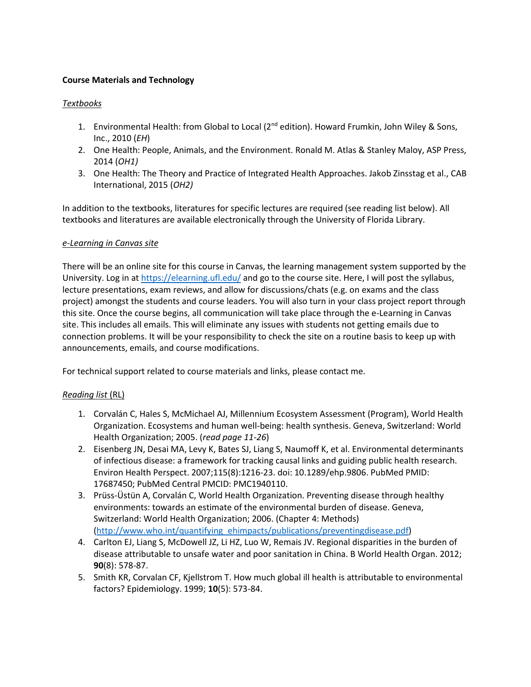## **Course Materials and Technology**

### *Textbooks*

- 1. Environmental Health: from Global to Local ( $2<sup>nd</sup>$  edition). Howard Frumkin, John Wiley & Sons, Inc., 2010 (*EH*)
- 2. One Health: People, Animals, and the Environment. Ronald M. Atlas & Stanley Maloy, ASP Press, 2014 (*OH1)*
- 3. One Health: The Theory and Practice of Integrated Health Approaches. Jakob Zinsstag et al., CAB International, 2015 (*OH2)*

In addition to the textbooks, literatures for specific lectures are required (see reading list below). All textbooks and literatures are available electronically through the University of Florida Library.

#### *e-Learning in Canvas site*

There will be an online site for this course in Canvas, the learning management system supported by the University. Log in a[t https://elearning.ufl.edu/](https://lss.at.ufl.edu/) and go to the course site. Here, I will post the syllabus, lecture presentations, exam reviews, and allow for discussions/chats (e.g. on exams and the class project) amongst the students and course leaders. You will also turn in your class project report through this site. Once the course begins, all communication will take place through the e-Learning in Canvas site. This includes all emails. This will eliminate any issues with students not getting emails due to connection problems. It will be your responsibility to check the site on a routine basis to keep up with announcements, emails, and course modifications.

For technical support related to course materials and links, please contact me.

# *Reading list* (RL)

- 1. Corvalán C, Hales S, McMichael AJ, Millennium Ecosystem Assessment (Program), World Health Organization. Ecosystems and human well-being: health synthesis. Geneva, Switzerland: World Health Organization; 2005. (*read page 11-26*)
- 2. Eisenberg JN, Desai MA, Levy K, Bates SJ, Liang S, Naumoff K, et al. Environmental determinants of infectious disease: a framework for tracking causal links and guiding public health research. Environ Health Perspect. 2007;115(8):1216-23. doi: 10.1289/ehp.9806. PubMed PMID: 17687450; PubMed Central PMCID: PMC1940110.
- 3. Prüss-Üstün A, Corvalán C, World Health Organization. Preventing disease through healthy environments: towards an estimate of the environmental burden of disease. Geneva, Switzerland: World Health Organization; 2006. (Chapter 4: Methods) [\(http://www.who.int/quantifying\\_ehimpacts/publications/preventingdisease.pdf\)](http://www.who.int/quantifying_ehimpacts/publications/preventingdisease.pdf)
- 4. Carlton EJ, Liang S, McDowell JZ, Li HZ, Luo W, Remais JV. Regional disparities in the burden of disease attributable to unsafe water and poor sanitation in China. B World Health Organ. 2012; **90**(8): 578-87.
- 5. Smith KR, Corvalan CF, Kjellstrom T. How much global ill health is attributable to environmental factors? Epidemiology. 1999; **10**(5): 573-84.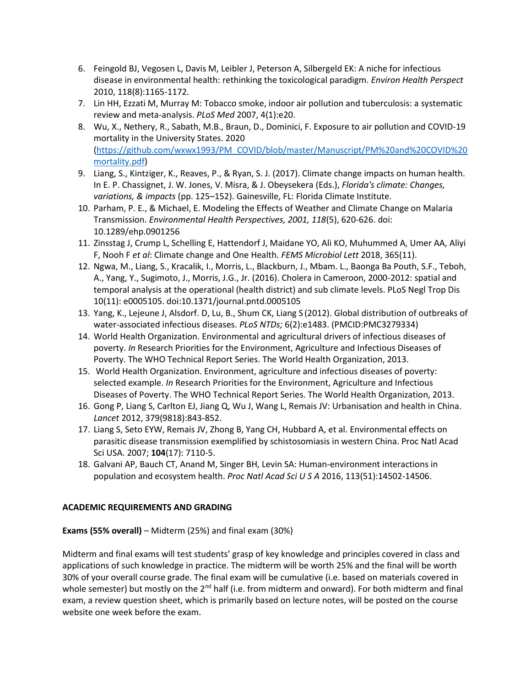- 6. Feingold BJ, Vegosen L, Davis M, Leibler J, Peterson A, Silbergeld EK: A niche for infectious disease in environmental health: rethinking the toxicological paradigm. *Environ Health Perspect*  2010, 118(8):1165-1172.
- 7. Lin HH, Ezzati M, Murray M: Tobacco smoke, indoor air pollution and tuberculosis: a systematic review and meta-analysis. *PLoS Med* 2007, 4(1):e20.
- 8. Wu, X., Nethery, R., Sabath, M.B., Braun, D., Dominici, F. Exposure to air pollution and COVID-19 mortality in the University States. 2020 [\(https://github.com/wxwx1993/PM\\_COVID/blob/master/Manuscript/PM%20and%20COVID%20](https://github.com/wxwx1993/PM_COVID/blob/master/Manuscript/PM%20and%20COVID%20mortality.pdf) [mortality.pdf\)](https://github.com/wxwx1993/PM_COVID/blob/master/Manuscript/PM%20and%20COVID%20mortality.pdf)
- 9. Liang, S., Kintziger, K., Reaves, P., & Ryan, S. J. (2017). Climate change impacts on human health. In E. P. Chassignet, J. W. Jones, V. Misra, & J. Obeysekera (Eds.), *Florida's climate: Changes, variations, & impacts* (pp. 125–152). Gainesville, FL: Florida Climate Institute.
- 10. Parham, P. E., & Michael, E. Modeling the Effects of Weather and Climate Change on Malaria Transmission. *Environmental Health Perspectives, 2001, 118*(5), 620-626. doi: 10.1289/ehp.0901256
- 11. Zinsstag J, Crump L, Schelling E, Hattendorf J, Maidane YO, Ali KO, Muhummed A, Umer AA, Aliyi F, Nooh F *et al*: Climate change and One Health. *FEMS Microbiol Lett* 2018, 365(11).
- 12. Ngwa, M., Liang, S., Kracalik, I., Morris, L., Blackburn, J., Mbam. L., Baonga Ba Pouth, S.F., Teboh, A., Yang, Y., Sugimoto, J., Morris, J.G., Jr. (2016). Cholera in Cameroon, 2000-2012: spatial and temporal analysis at the operational (health district) and sub climate levels. PLoS Negl Trop Dis 10(11): e0005105. doi:10.1371/journal.pntd.0005105
- 13. Yang, K., Lejeune J, Alsdorf. D, Lu, B., Shum CK, Liang S (2012). Global distribution of outbreaks of water-associated infectious diseases. *PLoS NTDs;* 6(2):e1483. (PMCID:PMC3279334)
- 14. World Health Organization. Environmental and agricultural drivers of infectious diseases of poverty. *In* Research Priorities for the Environment, Agriculture and Infectious Diseases of Poverty. The WHO Technical Report Series. The World Health Organization, 2013.
- 15. World Health Organization. Environment, agriculture and infectious diseases of poverty: selected example. *In* Research Priorities for the Environment, Agriculture and Infectious Diseases of Poverty. The WHO Technical Report Series. The World Health Organization, 2013.
- 16. Gong P, Liang S, Carlton EJ, Jiang Q, Wu J, Wang L, Remais JV: Urbanisation and health in China. *Lancet* 2012, 379(9818):843-852.
- 17. Liang S, Seto EYW, Remais JV, Zhong B, Yang CH, Hubbard A, et al. Environmental effects on parasitic disease transmission exemplified by schistosomiasis in western China. Proc Natl Acad Sci USA. 2007; **104**(17): 7110-5.
- 18. Galvani AP, Bauch CT, Anand M, Singer BH, Levin SA: Human-environment interactions in population and ecosystem health. *Proc Natl Acad Sci U S A* 2016, 113(51):14502-14506.

# **ACADEMIC REQUIREMENTS AND GRADING**

**Exams (55% overall)** – Midterm (25%) and final exam (30%)

Midterm and final exams will test students' grasp of key knowledge and principles covered in class and applications of such knowledge in practice. The midterm will be worth 25% and the final will be worth 30% of your overall course grade. The final exam will be cumulative (i.e. based on materials covered in whole semester) but mostly on the  $2^{nd}$  half (i.e. from midterm and onward). For both midterm and final exam, a review question sheet, which is primarily based on lecture notes, will be posted on the course website one week before the exam.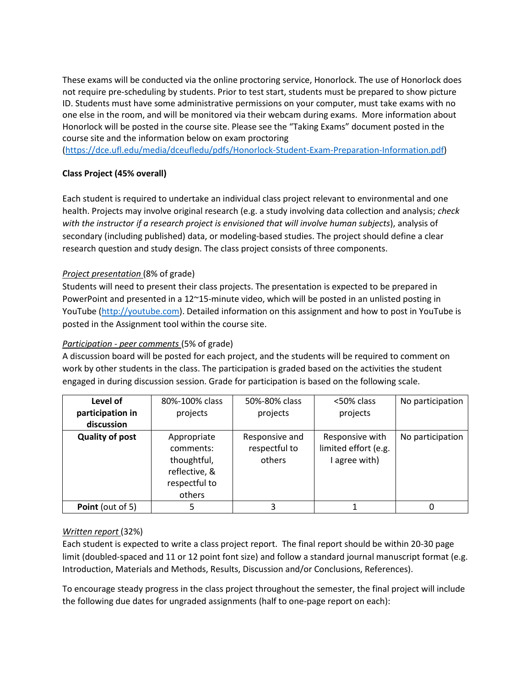These exams will be conducted via the online proctoring service, Honorlock. The use of Honorlock does not require pre-scheduling by students. Prior to test start, students must be prepared to show picture ID. Students must have some administrative permissions on your computer, must take exams with no one else in the room, and will be monitored via their webcam during exams. More information about Honorlock will be posted in the course site. Please see the "Taking Exams" document posted in the course site and the information below on exam proctoring

[\(https://dce.ufl.edu/media/dceufledu/pdfs/Honorlock-Student-Exam-Preparation-Information.pdf\)](https://dce.ufl.edu/media/dceufledu/pdfs/Honorlock-Student-Exam-Preparation-Information.pdf)

## **Class Project (45% overall)**

Each student is required to undertake an individual class project relevant to environmental and one health. Projects may involve original research (e.g. a study involving data collection and analysis; *check with the instructor if a research project is envisioned that will involve human subjects*), analysis of secondary (including published) data, or modeling-based studies. The project should define a clear research question and study design. The class project consists of three components.

## *Project presentation* (8% of grade)

Students will need to present their class projects. The presentation is expected to be prepared in PowerPoint and presented in a 12~15-minute video, which will be posted in an unlisted posting in YouTube [\(http://youtube.com\)](http://youtube.com/). Detailed information on this assignment and how to post in YouTube is posted in the Assignment tool within the course site.

### *Participation - peer comments* (5% of grade)

A discussion board will be posted for each project, and the students will be required to comment on work by other students in the class. The participation is graded based on the activities the student engaged in during discussion session. Grade for participation is based on the following scale.

| Level of               | 80%-100% class | 50%-80% class  | <50% class           | No participation |
|------------------------|----------------|----------------|----------------------|------------------|
| participation in       | projects       | projects       | projects             |                  |
| discussion             |                |                |                      |                  |
| <b>Quality of post</b> | Appropriate    | Responsive and | Responsive with      | No participation |
|                        | comments:      | respectful to  | limited effort (e.g. |                  |
|                        | thoughtful,    | others         | I agree with)        |                  |
|                        | reflective, &  |                |                      |                  |
|                        | respectful to  |                |                      |                  |
|                        | others         |                |                      |                  |
| Point (out of 5)       |                | 3              |                      |                  |

# *Written report* (32%)

Each student is expected to write a class project report. The final report should be within 20-30 page limit (doubled-spaced and 11 or 12 point font size) and follow a standard journal manuscript format (e.g. Introduction, Materials and Methods, Results, Discussion and/or Conclusions, References).

To encourage steady progress in the class project throughout the semester, the final project will include the following due dates for ungraded assignments (half to one-page report on each):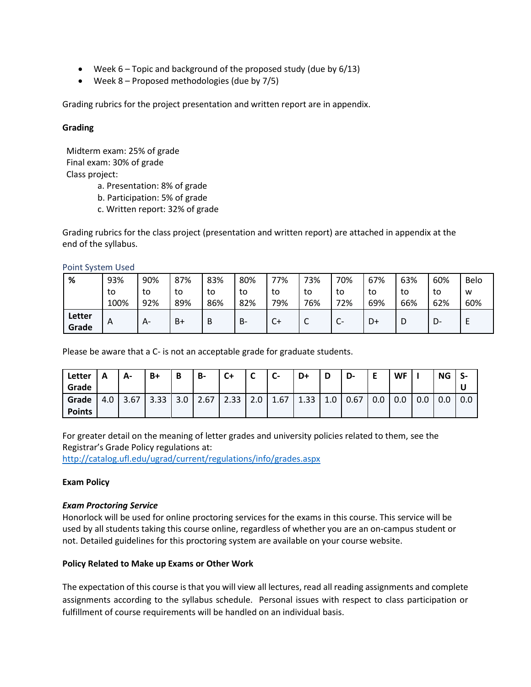- Week 6 Topic and background of the proposed study (due by 6/13)
- Week 8 Proposed methodologies (due by 7/5)

Grading rubrics for the project presentation and written report are in appendix.

#### **Grading**

Midterm exam: 25% of grade Final exam: 30% of grade Class project:

a. Presentation: 8% of grade

b. Participation: 5% of grade

c. Written report: 32% of grade

Grading rubrics for the class project (presentation and written report) are attached in appendix at the end of the syllabus.

Point System Used

| %               | 93%  | 90%  | 87% | 83% | 80% | 77%  | 73%    | 70%                 | 67% | 63% | 60% | <b>Belo</b> |
|-----------------|------|------|-----|-----|-----|------|--------|---------------------|-----|-----|-----|-------------|
|                 | to   | to   | to  | to  | to  | to   | to     | to                  | to  | to  | to  | W           |
|                 | 100% | 92%  | 89% | 86% | 82% | 79%  | 76%    | 72%                 | 69% | 66% | 62% | 60%         |
| Letter<br>Grade | A    | $A-$ | B+  | B   | B-  | $C+$ | ╭<br>֊ | ⌒<br>$\mathsf{C}^-$ | D+  | υ   | D-  |             |

Please be aware that a C- is not an acceptable grade for graduate students.

| Letter<br>Grade | Α   | А-   | $B+$ | B   | <b>B-</b> | $C+$ | $\epsilon$<br>◡ | $\mathsf{C}$ - | D+   | D   | D-   | Е   | <b>WF</b> |     | <b>NG</b> |     |
|-----------------|-----|------|------|-----|-----------|------|-----------------|----------------|------|-----|------|-----|-----------|-----|-----------|-----|
| Grade           | 4.0 | 3.67 | 3.33 | 3.0 | 2.67      | 2.33 | 2.0             | 1.67           | 1.33 | 1.0 | 0.67 | 0.0 | 0.0       | 0.0 | 0.0       | 0.0 |
| <b>Points</b>   |     |      |      |     |           |      |                 |                |      |     |      |     |           |     |           |     |

For greater detail on the meaning of letter grades and university policies related to them, see the Registrar's Grade Policy regulations at:

<http://catalog.ufl.edu/ugrad/current/regulations/info/grades.aspx>

#### **Exam Policy**

#### *Exam Proctoring Service*

Honorlock will be used for online proctoring services for the exams in this course. This service will be used by all students taking this course online, regardless of whether you are an on-campus student or not. Detailed guidelines for this proctoring system are available on your course website.

#### **Policy Related to Make up Exams or Other Work**

The expectation of this course is that you will view all lectures, read all reading assignments and complete assignments according to the syllabus schedule. Personal issues with respect to class participation or fulfillment of course requirements will be handled on an individual basis.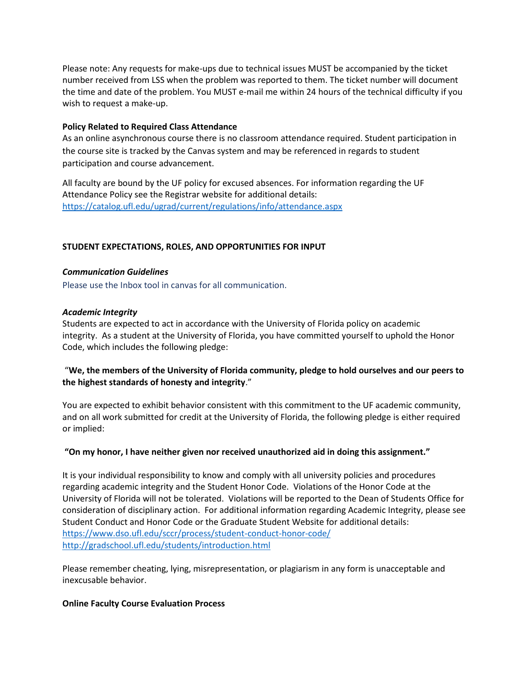Please note: Any requests for make-ups due to technical issues MUST be accompanied by the ticket number received from LSS when the problem was reported to them. The ticket number will document the time and date of the problem. You MUST e-mail me within 24 hours of the technical difficulty if you wish to request a make-up.

#### **Policy Related to Required Class Attendance**

As an online asynchronous course there is no classroom attendance required. Student participation in the course site is tracked by the Canvas system and may be referenced in regards to student participation and course advancement.

All faculty are bound by the UF policy for excused absences. For information regarding the UF Attendance Policy see the Registrar website for additional details: <https://catalog.ufl.edu/ugrad/current/regulations/info/attendance.aspx>

#### **STUDENT EXPECTATIONS, ROLES, AND OPPORTUNITIES FOR INPUT**

#### *Communication Guidelines*

Please use the Inbox tool in canvas for all communication.

#### *Academic Integrity*

Students are expected to act in accordance with the University of Florida policy on academic integrity. As a student at the University of Florida, you have committed yourself to uphold the Honor Code, which includes the following pledge:

## "**We, the members of the University of Florida community, pledge to hold ourselves and our peers to the highest standards of honesty and integrity**."

You are expected to exhibit behavior consistent with this commitment to the UF academic community, and on all work submitted for credit at the University of Florida, the following pledge is either required or implied:

#### **"On my honor, I have neither given nor received unauthorized aid in doing this assignment."**

It is your individual responsibility to know and comply with all university policies and procedures regarding academic integrity and the Student Honor Code. Violations of the Honor Code at the University of Florida will not be tolerated. Violations will be reported to the Dean of Students Office for consideration of disciplinary action. For additional information regarding Academic Integrity, please see Student Conduct and Honor Code or the Graduate Student Website for additional details: <https://www.dso.ufl.edu/sccr/process/student-conduct-honor-code/> <http://gradschool.ufl.edu/students/introduction.html>

Please remember cheating, lying, misrepresentation, or plagiarism in any form is unacceptable and inexcusable behavior.

#### **Online Faculty Course Evaluation Process**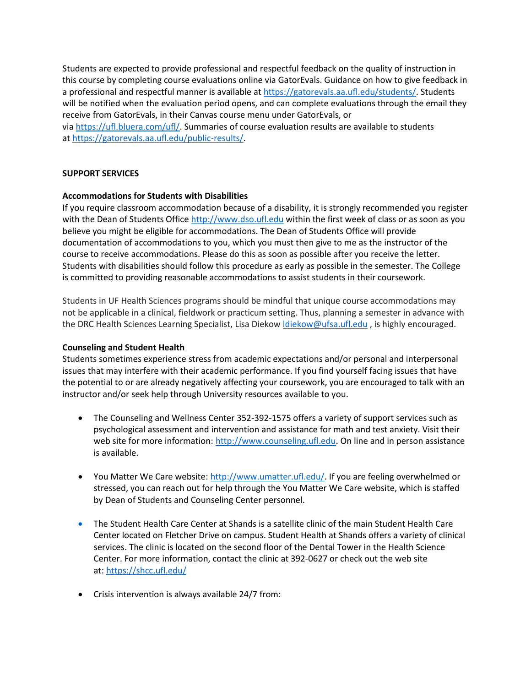Students are expected to provide professional and respectful feedback on the quality of instruction in this course by completing course evaluations online via GatorEvals. Guidance on how to give feedback in a professional and respectful manner is available at [https://gatorevals.aa.ufl.edu/students/.](https://gatorevals.aa.ufl.edu/students/) Students will be notified when the evaluation period opens, and can complete evaluations through the email they receive from GatorEvals, in their Canvas course menu under GatorEvals, or via [https://ufl.bluera.com/ufl/.](https://urldefense.proofpoint.com/v2/url?u=https-3A__ufl.bluera.com_ufl_&d=DwMFAg&c=sJ6xIWYx-zLMB3EPkvcnVg&r=y2HjEMjRMHJhfdvLrqJZlYczRsfp5e4TfQjHuc5rVHg&m=WXko6OK_Ha6T00ZVAsEaSh99qRXHOgMNFRywCoehRho&s=itVU46DDJjnIg4CW6efJOOLgPjdzsPvCghyfzJoFONs&e=) Summaries of course evaluation results are available to students at [https://gatorevals.aa.ufl.edu/public-results/.](https://gatorevals.aa.ufl.edu/public-results/)

## **SUPPORT SERVICES**

#### **Accommodations for Students with Disabilities**

If you require classroom accommodation because of a disability, it is strongly recommended you register with the Dean of Students Office [http://www.dso.ufl.edu](http://www.dso.ufl.edu/) within the first week of class or as soon as you believe you might be eligible for accommodations. The Dean of Students Office will provide documentation of accommodations to you, which you must then give to me as the instructor of the course to receive accommodations. Please do this as soon as possible after you receive the letter. Students with disabilities should follow this procedure as early as possible in the semester. The College is committed to providing reasonable accommodations to assist students in their coursework.

Students in UF Health Sciences programs should be mindful that unique course accommodations may not be applicable in a clinical, fieldwork or practicum setting. Thus, planning a semester in advance with the DRC Health Sciences Learning Specialist, Lisa Diekow *diekow@ufsa.ufl.edu*, is highly encouraged.

#### **Counseling and Student Health**

Students sometimes experience stress from academic expectations and/or personal and interpersonal issues that may interfere with their academic performance. If you find yourself facing issues that have the potential to or are already negatively affecting your coursework, you are encouraged to talk with an instructor and/or seek help through University resources available to you.

- The Counseling and Wellness Center 352-392-1575 offers a variety of support services such as psychological assessment and intervention and assistance for math and test anxiety. Visit their web site for more information: [http://www.counseling.ufl.edu.](http://www.counseling.ufl.edu/) On line and in person assistance is available.
- You Matter We Care website[: http://www.umatter.ufl.edu/.](http://www.umatter.ufl.edu/) If you are feeling overwhelmed or stressed, you can reach out for help through the You Matter We Care website, which is staffed by Dean of Students and Counseling Center personnel.
- The Student Health Care Center at Shands is a satellite clinic of the main Student Health Care Center located on Fletcher Drive on campus. Student Health at Shands offers a variety of clinical services. The clinic is located on the second floor of the Dental Tower in the Health Science Center. For more information, contact the clinic at 392-0627 or check out the web site at: <https://shcc.ufl.edu/>
- Crisis intervention is always available 24/7 from: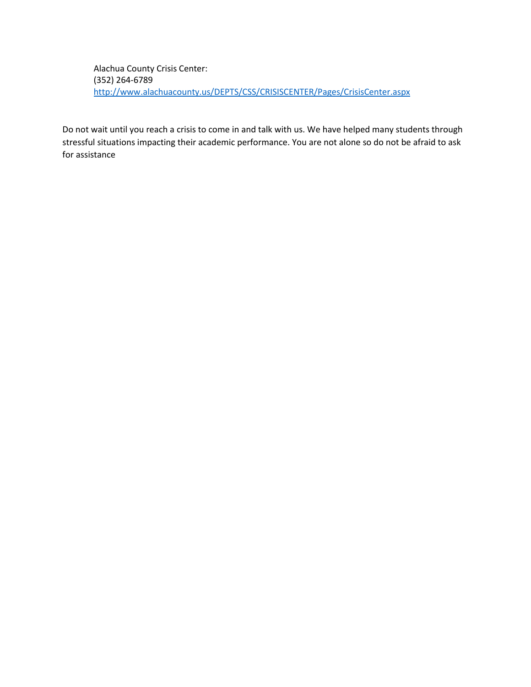Alachua County Crisis Center: (352) 264-6789 <http://www.alachuacounty.us/DEPTS/CSS/CRISISCENTER/Pages/CrisisCenter.aspx>

Do not wait until you reach a crisis to come in and talk with us. We have helped many students through stressful situations impacting their academic performance. You are not alone so do not be afraid to ask for assistance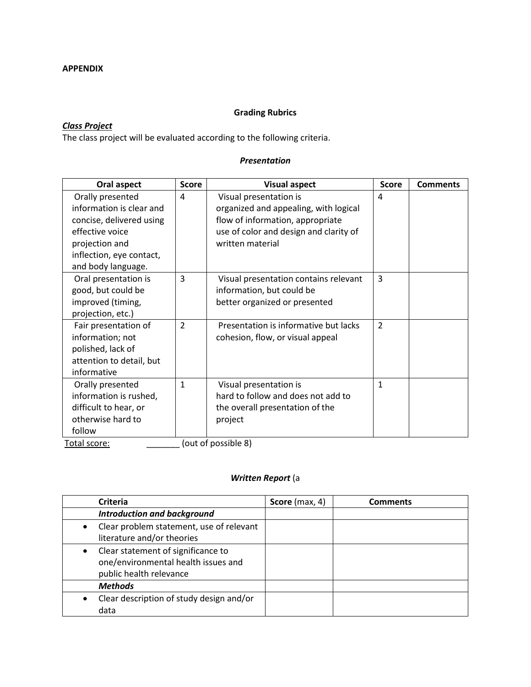# **Grading Rubrics**

# *Class Project*

The class project will be evaluated according to the following criteria.

#### *Presentation*

| Oral aspect              | <b>Score</b>             | <b>Visual aspect</b>                   | <b>Score</b>             | <b>Comments</b> |
|--------------------------|--------------------------|----------------------------------------|--------------------------|-----------------|
| Orally presented         | 4                        | Visual presentation is                 | 4                        |                 |
| information is clear and |                          | organized and appealing, with logical  |                          |                 |
| concise, delivered using |                          | flow of information, appropriate       |                          |                 |
| effective voice          |                          | use of color and design and clarity of |                          |                 |
| projection and           |                          | written material                       |                          |                 |
| inflection, eye contact, |                          |                                        |                          |                 |
| and body language.       |                          |                                        |                          |                 |
| Oral presentation is     | 3                        | Visual presentation contains relevant  | 3                        |                 |
| good, but could be       |                          | information, but could be              |                          |                 |
| improved (timing,        |                          | better organized or presented          |                          |                 |
| projection, etc.)        |                          |                                        |                          |                 |
| Fair presentation of     | $\overline{\phantom{a}}$ | Presentation is informative but lacks  | $\overline{\phantom{a}}$ |                 |
| information; not         |                          | cohesion, flow, or visual appeal       |                          |                 |
| polished, lack of        |                          |                                        |                          |                 |
| attention to detail, but |                          |                                        |                          |                 |
| informative              |                          |                                        |                          |                 |
| Orally presented         | $\mathbf{1}$             | Visual presentation is                 | $\mathbf{1}$             |                 |
| information is rushed,   |                          | hard to follow and does not add to     |                          |                 |
| difficult to hear, or    |                          | the overall presentation of the        |                          |                 |
| otherwise hard to        |                          | project                                |                          |                 |
| follow                   |                          |                                        |                          |                 |
| Total ccore:             |                          | $\int$ out of noscible $\Omega$        |                          |                 |

Total score: \_\_\_\_\_\_\_\_\_\_\_\_\_ (out of possible 8)

## *Written Report* (a

| <b>Criteria</b>                                                                                      | Score (max, 4) | <b>Comments</b> |
|------------------------------------------------------------------------------------------------------|----------------|-----------------|
| <b>Introduction and background</b>                                                                   |                |                 |
| Clear problem statement, use of relevant<br>literature and/or theories                               |                |                 |
| Clear statement of significance to<br>one/environmental health issues and<br>public health relevance |                |                 |
| <b>Methods</b>                                                                                       |                |                 |
| Clear description of study design and/or<br>data                                                     |                |                 |